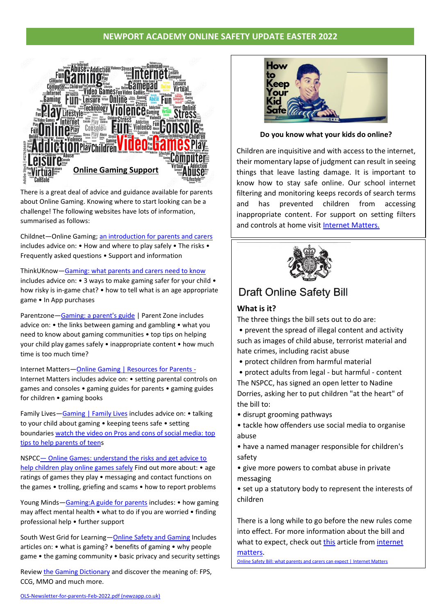# **NEWPORT ACADEMY ONLINE SAFETY UPDATE EASTER 2022**



There is a great deal of advice and guidance available for parents about Online Gaming. Knowing where to start looking can be a challenge! The following websites have lots of information, summarised as follows:

includes advice on: • How and where to play safely • The risks • Childnet—Online Gaming; [an introduction for parents and carers](https://www.childnet.com/wp-content/uploads/2020/07/Online-gaming-an-introduction-for-parents-and-carers-2017.pdf) Frequently asked questions • Support and information

ThinkUKnow—[Gaming: what parents and carers need to know](https://www.thinkuknow.co.uk/parents/articles/gaming/) includes advice on: • 3 ways to make gaming safer for your child • how risky is in-game chat? • how to tell what is an age appropriate game • In App purchases

Parentzone—[Gaming: a parent's guide](https://parentzone.org.uk/article/gaming-parents-guide) | Parent Zone includes advice on: • the links between gaming and gambling • what you need to know about gaming communities • top tips on helping your child play games safely • inappropriate content • how much time is too much time?

Internet Matters-[Online Gaming | Resources for Parents -](https://www.internetmatters.org/resources/online-gaming-advice/online-gaming-resources/) Internet Matters includes advice on: • setting parental controls on games and consoles • gaming guides for parents • gaming guides for children • gaming books

Family Lives—[Gaming | Family Lives](https://www.familylives.org.uk/advice/teenagers/online/gaming) includes advice on: • talking to your child about gaming • keeping teens safe • setting boundaries [watch the video on Pros and cons of social media: top](https://www.familylives.org.uk/advice/teenagers/online/gaming)  [tips to help parents of teens](https://www.familylives.org.uk/advice/teenagers/online/gaming)

NSPCC— [Online Games: understand the risks and get advice to](https://www.nspcc.org.uk/keeping-children-safe/online-safety/online-games/)  [help children play online games safely](https://www.nspcc.org.uk/keeping-children-safe/online-safety/online-games/) Find out more about: • age ratings of games they play • messaging and contact functions on the games • trolling, griefing and scams • how to report problems

Young Minds—[Gaming:A guide for parents](https://www.youngminds.org.uk/parent/a-z-guide/gaming/) includes: • how gaming may affect mental health • what to do if you are worried • finding professional help • further support

South West Grid for Learning—[Online Safety and Gaming](https://swgfl.org.uk/topics/gaming/) Includes articles on: • what is gaming? • benefits of gaming • why people game • the gaming community • basic privacy and security settings

Revie[w the Gaming Dictionary](https://swgfl.org.uk/topics/gaming/the-language-of-gaming-a-dictionary-of-terms/) and discover the meaning of: FPS, CCG, MMO and much more.



**Do you know what your kids do online?**

Children are inquisitive and with access to the internet, their momentary lapse of judgment can result in seeing things that leave lasting damage. It is important to know how to stay safe online. Our school internet filtering and monitoring keeps records of search terms and has prevented children from accessing inappropriate content. For support on setting filters and controls at home visit [Internet Matters.](https://www.internetmatters.org/parental-controls/?gclid=EAIaIQobChMIuuqp2ovQ9gIVYmHmCh23Cwh-EAAYASAAEgJDjvD_BwE)



**Draft Online Safety Bill** 

# **What is it?**

The three things the bill sets out to do are:

• prevent the spread of illegal content and activity such as images of child abuse, terrorist material and hate crimes, including racist abuse

• protect children from harmful material

• protect adults from legal - but harmful - content The NSPCC, has signed an open letter to Nadine Dorries, asking her to put children "at the heart" of the bill to:

- disrupt grooming pathways
- tackle how offenders use social media to organise abuse
- have a named manager responsible for children's safety
- give more powers to combat abuse in private messaging
- set up a statutory body to represent the interests of children

There is a long while to go before the new rules come into effect. For more information about the bill and what to expect, check ou[t this](https://www.internetmatters.org/hub/esafety-news/online-safety-bill-what-parents-and-carers-can-expect/) article from [internet](https://www.internetmatters.org/hub/esafety-news/online-safety-bill-what-parents-and-carers-can-expect/)

[matters.](https://www.internetmatters.org/hub/esafety-news/online-safety-bill-what-parents-and-carers-can-expect/) [Online Safety Bill: what parents and carers can expect | Internet Matters](https://www.internetmatters.org/hub/esafety-news/online-safety-bill-what-parents-and-carers-can-expect/)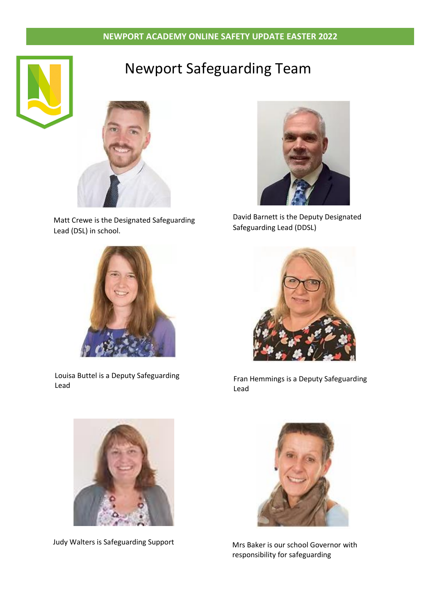# **NEWPORT ACADEMY ONLINE SAFETY UPDATE EASTER 2022**





Matt Crewe is the Designated Safeguarding Lead (DSL) in school.



Louisa Buttel is a Deputy Safeguarding Lead



David Barnett is the Deputy Designated Safeguarding Lead (DDSL)



Fran Hemmings is a Deputy Safeguarding Lead



Judy Walters is Safeguarding Support Mrs Baker is our school Governor with



responsibility for safeguarding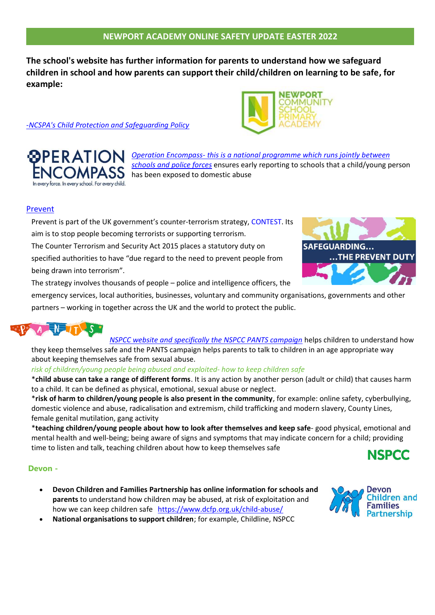**The school's website has further information for parents to understand how we safeguard children in school and how parents can support their child/children on learning to be safe, for example:**

## -*NCSPA's Child Protection and [Safeguarding](https://www.newportprimary.devon.sch.uk/safeguarding) Policy*



# **[Prevent](https://www.gov.uk/government/publications/protecting-children-from-radicalisation-the-prevent-duty)**

Prevent is part of the UK government's counter-terrorism strategy, [CONTEST.](https://www.gov.uk/government/collections/contest) Its aim is to stop people becoming terrorists or supporting terrorism. The Counter Terrorism and Security Act 2015 places a statutory duty on specified authorities to have "due regard to the need to prevent people from

being drawn into terrorism". The strategy involves thousands of people – police and intelligence officers, the

emergency services, local authorities, businesses, voluntary and community organisations, governments and other partners – working in together across the UK and the world to protect the public.



*NSPCC website and [specifically](https://4087aeb3-1ab3-464d-b5eb-b652ecad8c3b.filesusr.com/ugd/8c1913_5584dfc70c484fdfa697659fea98d26f.pdf) the NSPCC PANTS campaign* helps children to understand how they keep themselves safe and the PANTS campaign helps parents to talk to children in an age appropriate way about keeping themselves safe from sexual abuse.

### *risk of children/young people being abused and exploited- how to keep children safe*

\***child abuse can take a range of different forms**. It is any action by another person (adult or child) that causes harm to a child. It can be defined as physical, emotional, sexual abuse or neglect.

\***risk of harm to children/young people is also present in the community**, for example: online safety, cyberbullying, domestic violence and abuse, radicalisation and extremism, child trafficking and modern slavery, County Lines, female genital mutilation, gang activity

\***teaching children/young people about how to look after themselves and keep safe**- good physical, emotional and mental health and well-being; being aware of signs and symptoms that may indicate concern for a child; providing time to listen and talk, teaching children about how to keep themselves safe **NSPCC** 

### **Devon -**

- **Devon Children and Families Partnership has online information for schools and parents** to understand how children may be abused, at risk of exploitation and how we can keep children safe <https://www.dcfp.org.uk/child-abuse/>
- **National organisations to support children**; for example, Childline, NSPCC